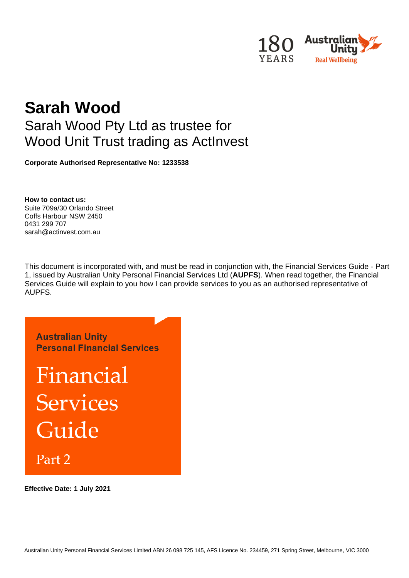

# **Sarah Wood** Sarah Wood Pty Ltd as trustee for Wood Unit Trust trading as ActInvest

**Corporate Authorised Representative No: 1233538**

**How to contact us:**  Suite 709a/30 Orlando Street Coffs Harbour NSW 2450 0431 299 707 sarah@actinvest.com.au

This document is incorporated with, and must be read in conjunction with, the Financial Services Guide - Part 1, issued by Australian Unity Personal Financial Services Ltd (**AUPFS**). When read together, the Financial Services Guide will explain to you how I can provide services to you as an authorised representative of AUPFS.



**Effective Date: 1 July 2021**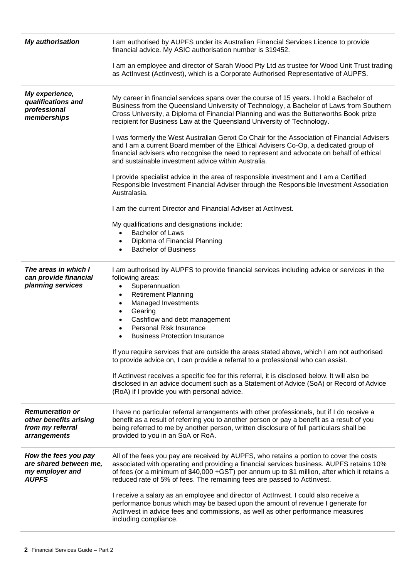| <b>My authorisation</b>                                                              | I am authorised by AUPFS under its Australian Financial Services Licence to provide<br>financial advice. My ASIC authorisation number is 319452.                                                                                                                                                                                                                                                                                                                                                                                                                                                                                                                                                                                                                                                                              |
|--------------------------------------------------------------------------------------|-------------------------------------------------------------------------------------------------------------------------------------------------------------------------------------------------------------------------------------------------------------------------------------------------------------------------------------------------------------------------------------------------------------------------------------------------------------------------------------------------------------------------------------------------------------------------------------------------------------------------------------------------------------------------------------------------------------------------------------------------------------------------------------------------------------------------------|
|                                                                                      | I am an employee and director of Sarah Wood Pty Ltd as trustee for Wood Unit Trust trading<br>as ActInvest (ActInvest), which is a Corporate Authorised Representative of AUPFS.                                                                                                                                                                                                                                                                                                                                                                                                                                                                                                                                                                                                                                              |
| My experience,<br>qualifications and<br>professional<br>memberships                  | My career in financial services spans over the course of 15 years. I hold a Bachelor of<br>Business from the Queensland University of Technology, a Bachelor of Laws from Southern<br>Cross University, a Diploma of Financial Planning and was the Butterworths Book prize<br>recipient for Business Law at the Queensland University of Technology.                                                                                                                                                                                                                                                                                                                                                                                                                                                                         |
|                                                                                      | I was formerly the West Australian Genxt Co Chair for the Association of Financial Advisers<br>and I am a current Board member of the Ethical Advisers Co-Op, a dedicated group of<br>financial advisers who recognise the need to represent and advocate on behalf of ethical<br>and sustainable investment advice within Australia.                                                                                                                                                                                                                                                                                                                                                                                                                                                                                         |
|                                                                                      | I provide specialist advice in the area of responsible investment and I am a Certified<br>Responsible Investment Financial Adviser through the Responsible Investment Association<br>Australasia.                                                                                                                                                                                                                                                                                                                                                                                                                                                                                                                                                                                                                             |
|                                                                                      | I am the current Director and Financial Adviser at ActInvest.                                                                                                                                                                                                                                                                                                                                                                                                                                                                                                                                                                                                                                                                                                                                                                 |
|                                                                                      | My qualifications and designations include:<br><b>Bachelor of Laws</b><br>$\bullet$<br>Diploma of Financial Planning<br>$\bullet$<br><b>Bachelor of Business</b><br>$\bullet$                                                                                                                                                                                                                                                                                                                                                                                                                                                                                                                                                                                                                                                 |
| The areas in which I<br>can provide financial<br>planning services                   | I am authorised by AUPFS to provide financial services including advice or services in the<br>following areas:<br>Superannuation<br>$\bullet$<br><b>Retirement Planning</b><br>$\bullet$<br>Managed Investments<br>$\bullet$<br>Gearing<br>$\bullet$<br>Cashflow and debt management<br>$\bullet$<br>Personal Risk Insurance<br>$\bullet$<br><b>Business Protection Insurance</b><br>$\bullet$<br>If you require services that are outside the areas stated above, which I am not authorised<br>to provide advice on, I can provide a referral to a professional who can assist.<br>If ActInvest receives a specific fee for this referral, it is disclosed below. It will also be<br>disclosed in an advice document such as a Statement of Advice (SoA) or Record of Advice<br>(RoA) if I provide you with personal advice. |
| <b>Remuneration or</b><br>other benefits arising<br>from my referral<br>arrangements | I have no particular referral arrangements with other professionals, but if I do receive a<br>benefit as a result of referring you to another person or pay a benefit as a result of you<br>being referred to me by another person, written disclosure of full particulars shall be<br>provided to you in an SoA or RoA.                                                                                                                                                                                                                                                                                                                                                                                                                                                                                                      |
| How the fees you pay<br>are shared between me,<br>my employer and<br><b>AUPFS</b>    | All of the fees you pay are received by AUPFS, who retains a portion to cover the costs<br>associated with operating and providing a financial services business. AUPFS retains 10%<br>of fees (or a minimum of \$40,000 + GST) per annum up to \$1 million, after which it retains a<br>reduced rate of 5% of fees. The remaining fees are passed to ActInvest.                                                                                                                                                                                                                                                                                                                                                                                                                                                              |
|                                                                                      | I receive a salary as an employee and director of ActInvest. I could also receive a<br>performance bonus which may be based upon the amount of revenue I generate for<br>ActInvest in advice fees and commissions, as well as other performance measures<br>including compliance.                                                                                                                                                                                                                                                                                                                                                                                                                                                                                                                                             |